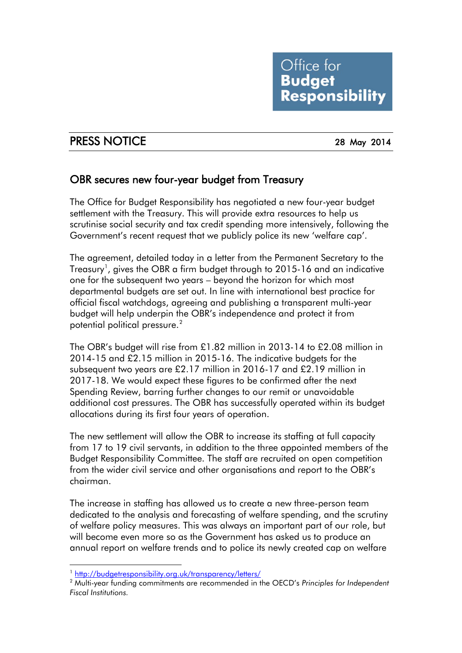## PRESS NOTICE 28 May 2014

## OBR secures new four-year budget from Treasury

The Office for Budget Responsibility has negotiated a new four-year budget settlement with the Treasury. This will provide extra resources to help us scrutinise social security and tax credit spending more intensively, following the Government's recent request that we publicly police its new 'welfare cap'.

The agreement, detailed today in a letter from the Permanent Secretary to the Treasury<sup>[1](#page-0-0)</sup>, gives the OBR a firm budget through to 2015-16 and an indicative one for the subsequent two years – beyond the horizon for which most departmental budgets are set out. In line with international best practice for official fiscal watchdogs, agreeing and publishing a transparent multi-year budget will help underpin the OBR's independence and protect it from potential political pressure.<sup>[2](#page-0-1)</sup>

The OBR's budget will rise from £1.82 million in 2013-14 to £2.08 million in 2014-15 and £2.15 million in 2015-16. The indicative budgets for the subsequent two years are £2.17 million in 2016-17 and £2.19 million in 2017-18. We would expect these figures to be confirmed after the next Spending Review, barring further changes to our remit or unavoidable additional cost pressures. The OBR has successfully operated within its budget allocations during its first four years of operation.

The new settlement will allow the OBR to increase its staffing at full capacity from 17 to 19 civil servants, in addition to the three appointed members of the Budget Responsibility Committee. The staff are recruited on open competition from the wider civil service and other organisations and report to the OBR's chairman.

The increase in staffing has allowed us to create a new three-person team dedicated to the analysis and forecasting of welfare spending, and the scrutiny of welfare policy measures. This was always an important part of our role, but will become even more so as the Government has asked us to produce an annual report on welfare trends and to police its newly created cap on welfare

<sup>-</sup><sup>1</sup> <http://budgetresponsibility.org.uk/transparency/letters/>

<span id="page-0-1"></span><span id="page-0-0"></span><sup>2</sup> Multi-year funding commitments are recommended in the OECD's *Principles for Independent Fiscal Institutions.*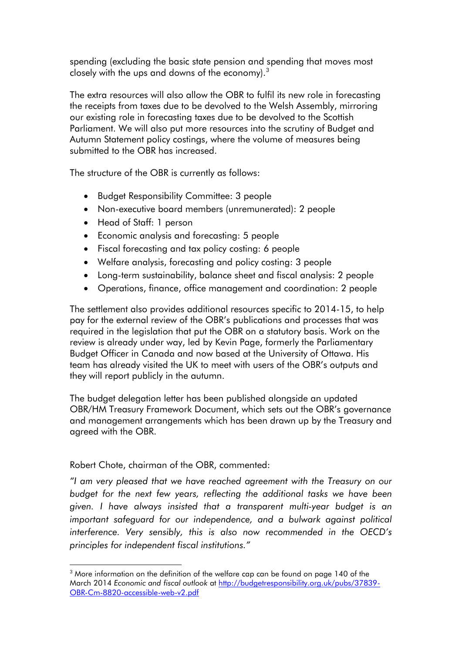spending (excluding the basic state pension and spending that moves most closely with the ups and downs of the economy). $3$ 

The extra resources will also allow the OBR to fulfil its new role in forecasting the receipts from taxes due to be devolved to the Welsh Assembly, mirroring our existing role in forecasting taxes due to be devolved to the Scottish Parliament. We will also put more resources into the scrutiny of Budget and Autumn Statement policy costings, where the volume of measures being submitted to the OBR has increased.

The structure of the OBR is currently as follows:

- Budget Responsibility Committee: 3 people
- Non-executive board members (unremunerated): 2 people
- Head of Staff: 1 person
- Economic analysis and forecasting: 5 people
- Fiscal forecasting and tax policy costing: 6 people
- Welfare analysis, forecasting and policy costing: 3 people
- Long-term sustainability, balance sheet and fiscal analysis: 2 people
- Operations, finance, office management and coordination: 2 people

The settlement also provides additional resources specific to 2014-15, to help pay for the external review of the OBR's publications and processes that was required in the legislation that put the OBR on a statutory basis. Work on the review is already under way, led by Kevin Page, formerly the Parliamentary Budget Officer in Canada and now based at the University of Ottawa. His team has already visited the UK to meet with users of the OBR's outputs and they will report publicly in the autumn.

The budget delegation letter has been published alongside an updated OBR/HM Treasury Framework Document, which sets out the OBR's governance and management arrangements which has been drawn up by the Treasury and agreed with the OBR.

#### Robert Chote, chairman of the OBR, commented:

-

*"I am very pleased that we have reached agreement with the Treasury on our budget for the next few years, reflecting the additional tasks we have been given. I have always insisted that a transparent multi-year budget is an important safeguard for our independence, and a bulwark against political interference. Very sensibly, this is also now recommended in the OECD's principles for independent fiscal institutions."*

 $3$  More information on the definition of the welfare cap can be found on page 140 of the March 2014 *Economic and fiscal outlook* at [http://budgetresponsibility.org.uk/pubs/37839-](http://budgetresponsibility.org.uk/pubs/37839-OBR-Cm-8820-accessible-web-v2.pdf) [OBR-Cm-8820-accessible-web-v2.pdf](http://budgetresponsibility.org.uk/pubs/37839-OBR-Cm-8820-accessible-web-v2.pdf)